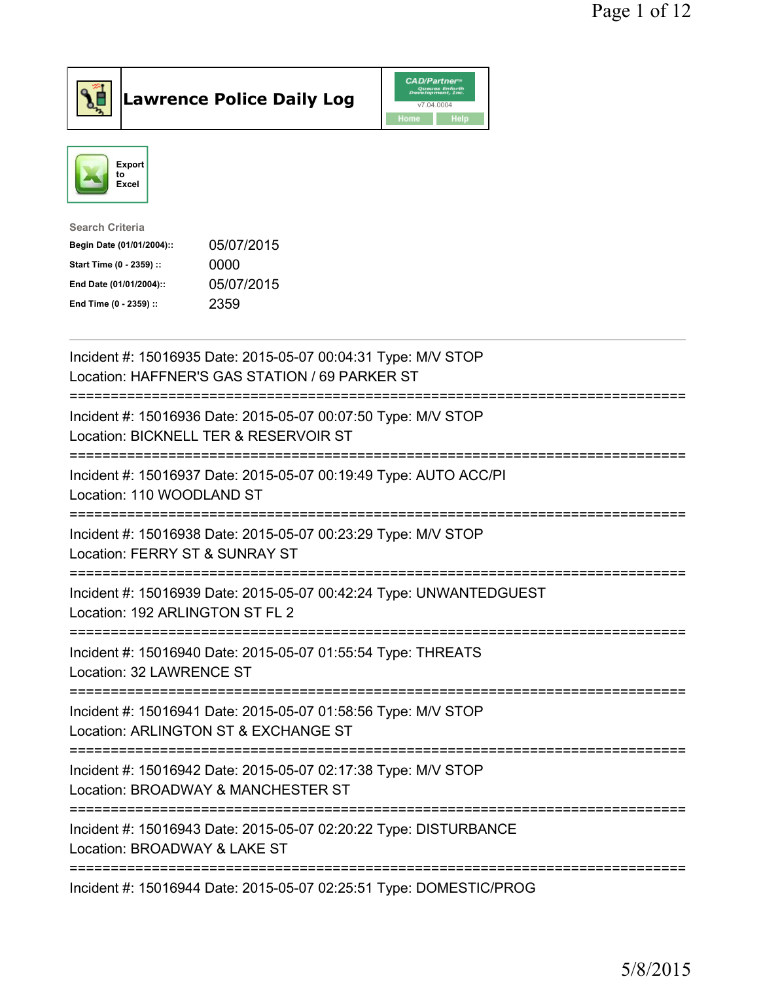

Lawrence Police Daily Log CAD/Partners



| <b>Search Criteria</b>    |            |
|---------------------------|------------|
| Begin Date (01/01/2004):: | 05/07/2015 |
| Start Time (0 - 2359) ::  | 0000       |
| End Date (01/01/2004)::   | 05/07/2015 |
| End Time (0 - 2359) ::    | 2359       |
|                           |            |

| Incident #: 15016935 Date: 2015-05-07 00:04:31 Type: M/V STOP<br>Location: HAFFNER'S GAS STATION / 69 PARKER ST                                  |
|--------------------------------------------------------------------------------------------------------------------------------------------------|
| Incident #: 15016936 Date: 2015-05-07 00:07:50 Type: M/V STOP<br>Location: BICKNELL TER & RESERVOIR ST                                           |
| Incident #: 15016937 Date: 2015-05-07 00:19:49 Type: AUTO ACC/PI<br>Location: 110 WOODLAND ST                                                    |
| Incident #: 15016938 Date: 2015-05-07 00:23:29 Type: M/V STOP<br>Location: FERRY ST & SUNRAY ST                                                  |
| Incident #: 15016939 Date: 2015-05-07 00:42:24 Type: UNWANTEDGUEST<br>Location: 192 ARLINGTON ST FL 2<br>----------------------<br>------------- |
| Incident #: 15016940 Date: 2015-05-07 01:55:54 Type: THREATS<br>Location: 32 LAWRENCE ST<br>-----------------------------------                  |
| Incident #: 15016941 Date: 2015-05-07 01:58:56 Type: M/V STOP<br>Location: ARLINGTON ST & EXCHANGE ST                                            |
| Incident #: 15016942 Date: 2015-05-07 02:17:38 Type: M/V STOP<br>Location: BROADWAY & MANCHESTER ST<br>===============================           |
| Incident #: 15016943 Date: 2015-05-07 02:20:22 Type: DISTURBANCE<br>Location: BROADWAY & LAKE ST<br>-----------------------------------          |
| Incident #: 15016944 Date: 2015-05-07 02:25:51 Type: DOMESTIC/PROG                                                                               |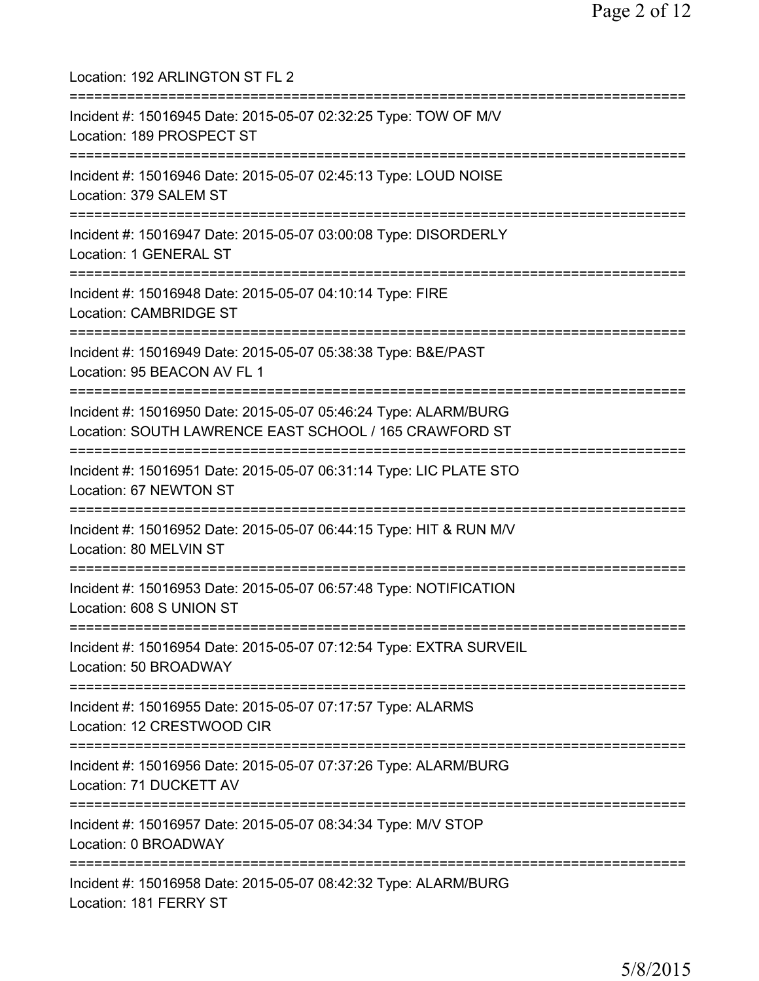Location: 192 ARLINGTON ST FL 2 =========================================================================== Incident #: 15016945 Date: 2015-05-07 02:32:25 Type: TOW OF M/V Location: 189 PROSPECT ST =========================================================================== Incident #: 15016946 Date: 2015-05-07 02:45:13 Type: LOUD NOISE Location: 379 SALEM ST =========================================================================== Incident #: 15016947 Date: 2015-05-07 03:00:08 Type: DISORDERLY Location: 1 GENERAL ST =========================================================================== Incident #: 15016948 Date: 2015-05-07 04:10:14 Type: FIRE Location: CAMBRIDGE ST =========================================================================== Incident #: 15016949 Date: 2015-05-07 05:38:38 Type: B&E/PAST Location: 95 BEACON AV FL 1 =========================================================================== Incident #: 15016950 Date: 2015-05-07 05:46:24 Type: ALARM/BURG Location: SOUTH LAWRENCE EAST SCHOOL / 165 CRAWFORD ST =========================================================================== Incident #: 15016951 Date: 2015-05-07 06:31:14 Type: LIC PLATE STO Location: 67 NEWTON ST =========================================================================== Incident #: 15016952 Date: 2015-05-07 06:44:15 Type: HIT & RUN M/V Location: 80 MELVIN ST =========================================================================== Incident #: 15016953 Date: 2015-05-07 06:57:48 Type: NOTIFICATION Location: 608 S UNION ST =========================================================================== Incident #: 15016954 Date: 2015-05-07 07:12:54 Type: EXTRA SURVEIL Location: 50 BROADWAY =========================================================================== Incident #: 15016955 Date: 2015-05-07 07:17:57 Type: ALARMS Location: 12 CRESTWOOD CIR =========================================================================== Incident #: 15016956 Date: 2015-05-07 07:37:26 Type: ALARM/BURG Location: 71 DUCKETT AV =========================================================================== Incident #: 15016957 Date: 2015-05-07 08:34:34 Type: M/V STOP Location: 0 BROADWAY =========================================================================== Incident #: 15016958 Date: 2015-05-07 08:42:32 Type: ALARM/BURG Location: 181 FERRY ST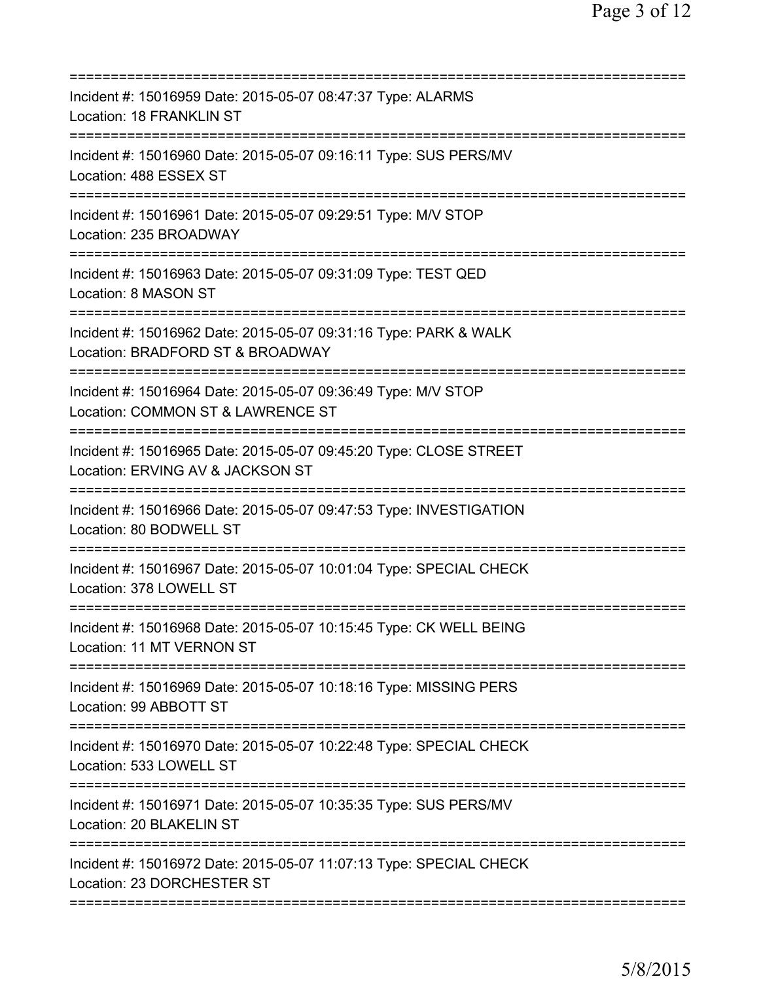| Incident #: 15016959 Date: 2015-05-07 08:47:37 Type: ALARMS<br>Location: 18 FRANKLIN ST                                              |
|--------------------------------------------------------------------------------------------------------------------------------------|
| Incident #: 15016960 Date: 2015-05-07 09:16:11 Type: SUS PERS/MV<br>Location: 488 ESSEX ST                                           |
| Incident #: 15016961 Date: 2015-05-07 09:29:51 Type: M/V STOP<br>Location: 235 BROADWAY<br>===================                       |
| Incident #: 15016963 Date: 2015-05-07 09:31:09 Type: TEST QED<br>Location: 8 MASON ST                                                |
| Incident #: 15016962 Date: 2015-05-07 09:31:16 Type: PARK & WALK<br>Location: BRADFORD ST & BROADWAY                                 |
| ==============================<br>Incident #: 15016964 Date: 2015-05-07 09:36:49 Type: M/V STOP<br>Location: COMMON ST & LAWRENCE ST |
| Incident #: 15016965 Date: 2015-05-07 09:45:20 Type: CLOSE STREET<br>Location: ERVING AV & JACKSON ST<br>;======================     |
| Incident #: 15016966 Date: 2015-05-07 09:47:53 Type: INVESTIGATION<br>Location: 80 BODWELL ST                                        |
| Incident #: 15016967 Date: 2015-05-07 10:01:04 Type: SPECIAL CHECK<br>Location: 378 LOWELL ST                                        |
| Incident #: 15016968 Date: 2015-05-07 10:15:45 Type: CK WELL BEING<br>Location: 11 MT VERNON ST                                      |
| Incident #: 15016969 Date: 2015-05-07 10:18:16 Type: MISSING PERS<br>Location: 99 ABBOTT ST                                          |
| Incident #: 15016970 Date: 2015-05-07 10:22:48 Type: SPECIAL CHECK<br>Location: 533 LOWELL ST                                        |
| Incident #: 15016971 Date: 2015-05-07 10:35:35 Type: SUS PERS/MV<br>Location: 20 BLAKELIN ST                                         |
| Incident #: 15016972 Date: 2015-05-07 11:07:13 Type: SPECIAL CHECK<br>Location: 23 DORCHESTER ST                                     |
|                                                                                                                                      |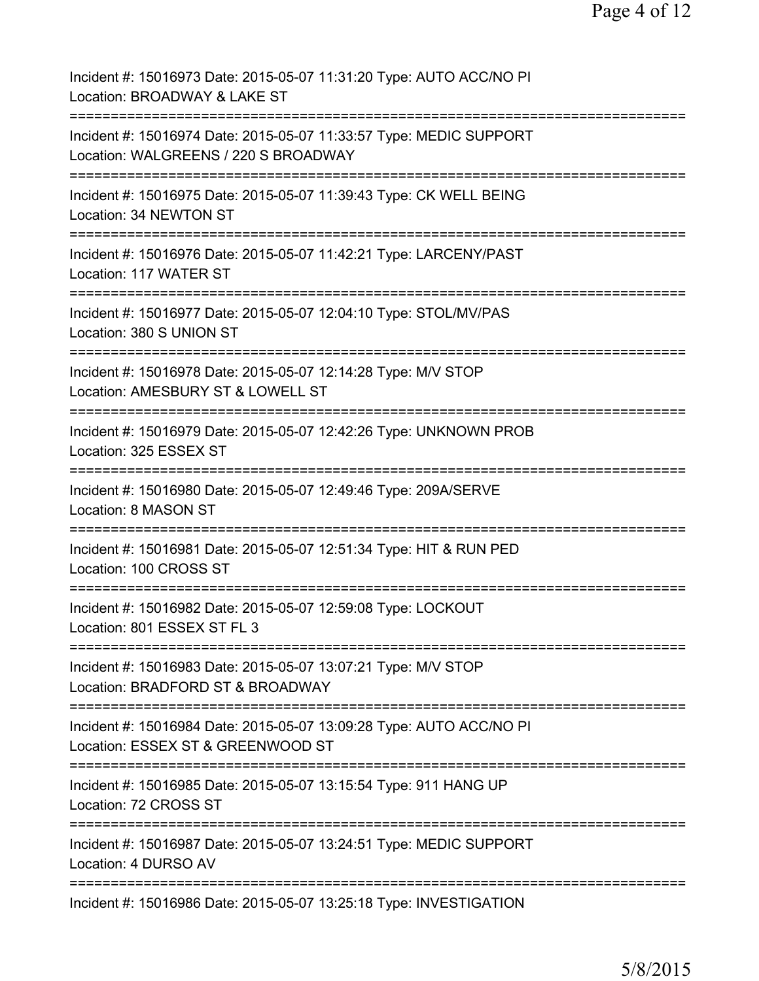| Incident #: 15016973 Date: 2015-05-07 11:31:20 Type: AUTO ACC/NO PI<br>Location: BROADWAY & LAKE ST                                          |
|----------------------------------------------------------------------------------------------------------------------------------------------|
| Incident #: 15016974 Date: 2015-05-07 11:33:57 Type: MEDIC SUPPORT<br>Location: WALGREENS / 220 S BROADWAY<br>=======================        |
| Incident #: 15016975 Date: 2015-05-07 11:39:43 Type: CK WELL BEING<br>Location: 34 NEWTON ST                                                 |
| Incident #: 15016976 Date: 2015-05-07 11:42:21 Type: LARCENY/PAST<br>Location: 117 WATER ST                                                  |
| Incident #: 15016977 Date: 2015-05-07 12:04:10 Type: STOL/MV/PAS<br>Location: 380 S UNION ST                                                 |
| Incident #: 15016978 Date: 2015-05-07 12:14:28 Type: M/V STOP<br>Location: AMESBURY ST & LOWELL ST                                           |
| Incident #: 15016979 Date: 2015-05-07 12:42:26 Type: UNKNOWN PROB<br>Location: 325 ESSEX ST                                                  |
| Incident #: 15016980 Date: 2015-05-07 12:49:46 Type: 209A/SERVE<br>Location: 8 MASON ST                                                      |
| Incident #: 15016981 Date: 2015-05-07 12:51:34 Type: HIT & RUN PED<br>Location: 100 CROSS ST                                                 |
| Incident #: 15016982 Date: 2015-05-07 12:59:08 Type: LOCKOUT<br>Location: 801 ESSEX ST FL 3                                                  |
| Incident #: 15016983 Date: 2015-05-07 13:07:21 Type: M/V STOP<br>Location: BRADFORD ST & BROADWAY                                            |
| Incident #: 15016984 Date: 2015-05-07 13:09:28 Type: AUTO ACC/NO PI<br>Location: ESSEX ST & GREENWOOD ST<br>================================ |
| Incident #: 15016985 Date: 2015-05-07 13:15:54 Type: 911 HANG UP<br>Location: 72 CROSS ST                                                    |
| Incident #: 15016987 Date: 2015-05-07 13:24:51 Type: MEDIC SUPPORT<br>Location: 4 DURSO AV                                                   |
| Incident #: 15016986 Date: 2015-05-07 13:25:18 Type: INVESTIGATION                                                                           |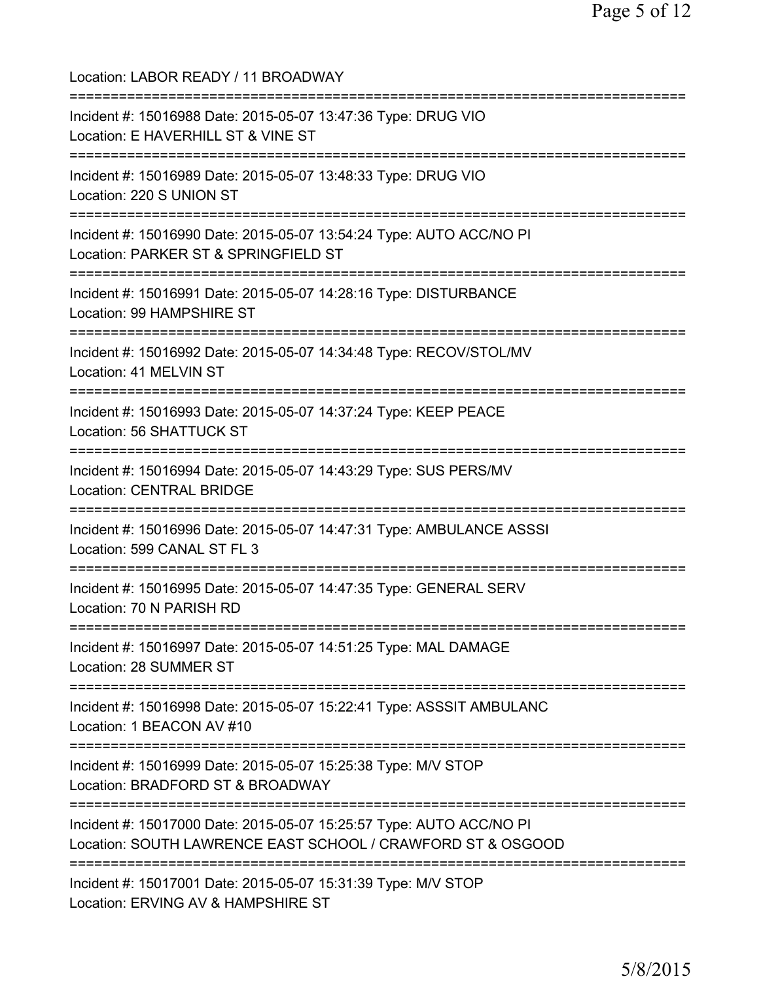Location: LABOR READY / 11 BROADWAY =========================================================================== Incident #: 15016988 Date: 2015-05-07 13:47:36 Type: DRUG VIO Location: E HAVERHILL ST & VINE ST =========================================================================== Incident #: 15016989 Date: 2015-05-07 13:48:33 Type: DRUG VIO Location: 220 S UNION ST =========================================================================== Incident #: 15016990 Date: 2015-05-07 13:54:24 Type: AUTO ACC/NO PI Location: PARKER ST & SPRINGFIELD ST =========================================================================== Incident #: 15016991 Date: 2015-05-07 14:28:16 Type: DISTURBANCE Location: 99 HAMPSHIRE ST =========================================================================== Incident #: 15016992 Date: 2015-05-07 14:34:48 Type: RECOV/STOL/MV Location: 41 MELVIN ST =========================================================================== Incident #: 15016993 Date: 2015-05-07 14:37:24 Type: KEEP PEACE Location: 56 SHATTUCK ST =========================================================================== Incident #: 15016994 Date: 2015-05-07 14:43:29 Type: SUS PERS/MV Location: CENTRAL BRIDGE =========================================================================== Incident #: 15016996 Date: 2015-05-07 14:47:31 Type: AMBULANCE ASSSI Location: 599 CANAL ST FL 3 =========================================================================== Incident #: 15016995 Date: 2015-05-07 14:47:35 Type: GENERAL SERV Location: 70 N PARISH RD =========================================================================== Incident #: 15016997 Date: 2015-05-07 14:51:25 Type: MAL DAMAGE Location: 28 SUMMER ST =========================================================================== Incident #: 15016998 Date: 2015-05-07 15:22:41 Type: ASSSIT AMBULANC Location: 1 BEACON AV #10 =========================================================================== Incident #: 15016999 Date: 2015-05-07 15:25:38 Type: M/V STOP Location: BRADFORD ST & BROADWAY =========================================================================== Incident #: 15017000 Date: 2015-05-07 15:25:57 Type: AUTO ACC/NO PI Location: SOUTH LAWRENCE EAST SCHOOL / CRAWFORD ST & OSGOOD =========================================================================== Incident #: 15017001 Date: 2015-05-07 15:31:39 Type: M/V STOP Location: ERVING AV & HAMPSHIRE ST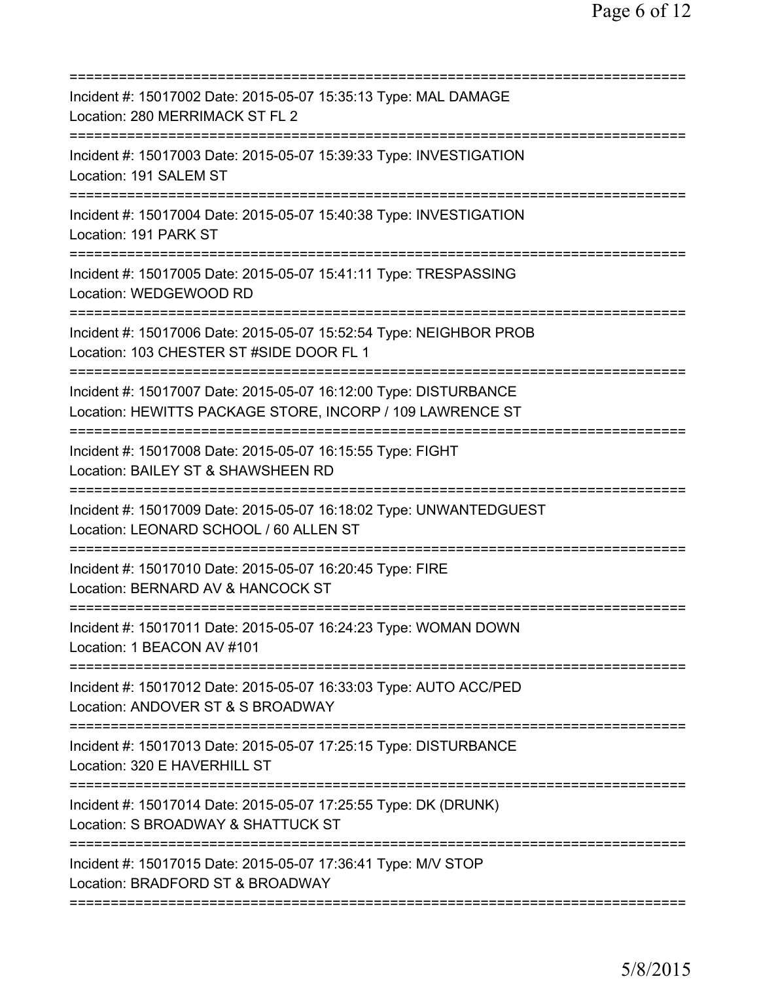| Incident #: 15017002 Date: 2015-05-07 15:35:13 Type: MAL DAMAGE<br>Location: 280 MERRIMACK ST FL 2                                     |
|----------------------------------------------------------------------------------------------------------------------------------------|
| Incident #: 15017003 Date: 2015-05-07 15:39:33 Type: INVESTIGATION<br>Location: 191 SALEM ST                                           |
| Incident #: 15017004 Date: 2015-05-07 15:40:38 Type: INVESTIGATION<br>Location: 191 PARK ST                                            |
| Incident #: 15017005 Date: 2015-05-07 15:41:11 Type: TRESPASSING<br>Location: WEDGEWOOD RD                                             |
| ====================<br>Incident #: 15017006 Date: 2015-05-07 15:52:54 Type: NEIGHBOR PROB<br>Location: 103 CHESTER ST #SIDE DOOR FL 1 |
| Incident #: 15017007 Date: 2015-05-07 16:12:00 Type: DISTURBANCE<br>Location: HEWITTS PACKAGE STORE, INCORP / 109 LAWRENCE ST          |
| Incident #: 15017008 Date: 2015-05-07 16:15:55 Type: FIGHT<br>Location: BAILEY ST & SHAWSHEEN RD                                       |
| Incident #: 15017009 Date: 2015-05-07 16:18:02 Type: UNWANTEDGUEST<br>Location: LEONARD SCHOOL / 60 ALLEN ST                           |
| Incident #: 15017010 Date: 2015-05-07 16:20:45 Type: FIRE<br>Location: BERNARD AV & HANCOCK ST                                         |
| Incident #: 15017011 Date: 2015-05-07 16:24:23 Type: WOMAN DOWN<br>Location: 1 BEACON AV #101                                          |
| Incident #: 15017012 Date: 2015-05-07 16:33:03 Type: AUTO ACC/PED<br>Location: ANDOVER ST & S BROADWAY                                 |
| Incident #: 15017013 Date: 2015-05-07 17:25:15 Type: DISTURBANCE<br>Location: 320 E HAVERHILL ST                                       |
| Incident #: 15017014 Date: 2015-05-07 17:25:55 Type: DK (DRUNK)<br>Location: S BROADWAY & SHATTUCK ST                                  |
| Incident #: 15017015 Date: 2015-05-07 17:36:41 Type: M/V STOP<br>Location: BRADFORD ST & BROADWAY                                      |
|                                                                                                                                        |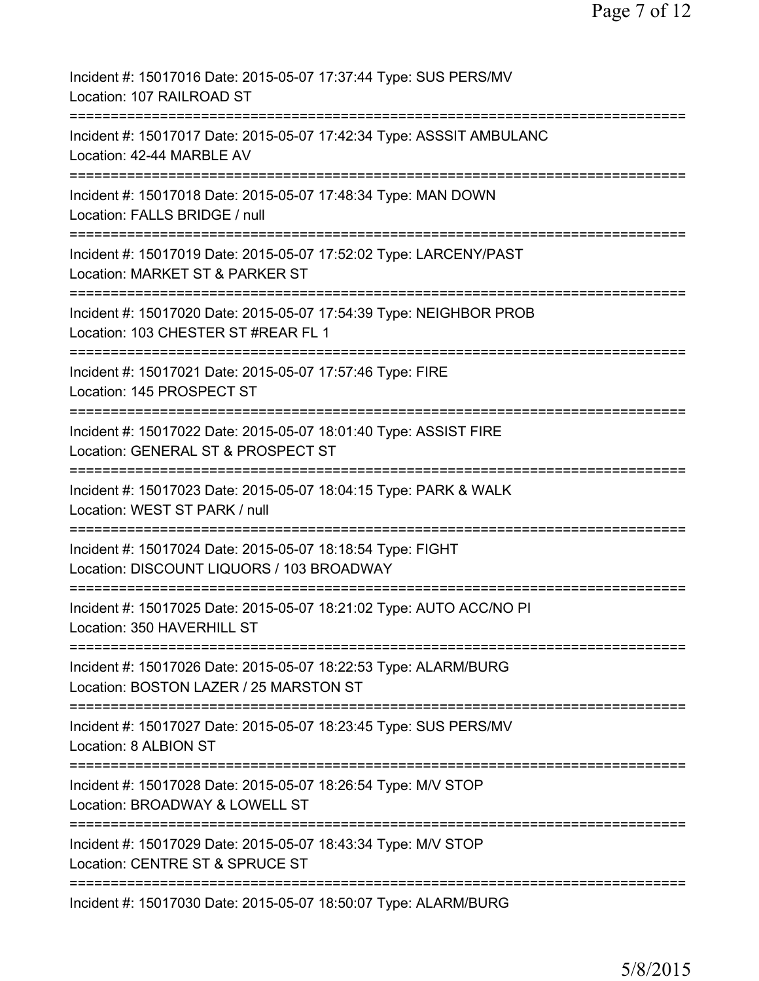| Incident #: 15017016 Date: 2015-05-07 17:37:44 Type: SUS PERS/MV<br>Location: 107 RAILROAD ST                                                  |
|------------------------------------------------------------------------------------------------------------------------------------------------|
| Incident #: 15017017 Date: 2015-05-07 17:42:34 Type: ASSSIT AMBULANC<br>Location: 42-44 MARBLE AV                                              |
| Incident #: 15017018 Date: 2015-05-07 17:48:34 Type: MAN DOWN<br>Location: FALLS BRIDGE / null                                                 |
| Incident #: 15017019 Date: 2015-05-07 17:52:02 Type: LARCENY/PAST<br>Location: MARKET ST & PARKER ST                                           |
| Incident #: 15017020 Date: 2015-05-07 17:54:39 Type: NEIGHBOR PROB<br>Location: 103 CHESTER ST #REAR FL 1                                      |
| ==============================<br>Incident #: 15017021 Date: 2015-05-07 17:57:46 Type: FIRE<br>Location: 145 PROSPECT ST                       |
| ====================================<br>Incident #: 15017022 Date: 2015-05-07 18:01:40 Type: ASSIST FIRE<br>Location: GENERAL ST & PROSPECT ST |
| Incident #: 15017023 Date: 2015-05-07 18:04:15 Type: PARK & WALK<br>Location: WEST ST PARK / null                                              |
| Incident #: 15017024 Date: 2015-05-07 18:18:54 Type: FIGHT<br>Location: DISCOUNT LIQUORS / 103 BROADWAY                                        |
| Incident #: 15017025 Date: 2015-05-07 18:21:02 Type: AUTO ACC/NO PI<br>Location: 350 HAVERHILL ST                                              |
| Incident #: 15017026 Date: 2015-05-07 18:22:53 Type: ALARM/BURG<br>Location: BOSTON LAZER / 25 MARSTON ST                                      |
| ===================================<br>Incident #: 15017027 Date: 2015-05-07 18:23:45 Type: SUS PERS/MV<br>Location: 8 ALBION ST               |
| Incident #: 15017028 Date: 2015-05-07 18:26:54 Type: M/V STOP<br>Location: BROADWAY & LOWELL ST                                                |
| Incident #: 15017029 Date: 2015-05-07 18:43:34 Type: M/V STOP<br>Location: CENTRE ST & SPRUCE ST                                               |
| ===========================<br>Incident #: 15017030 Date: 2015-05-07 18:50:07 Type: ALARM/BURG                                                 |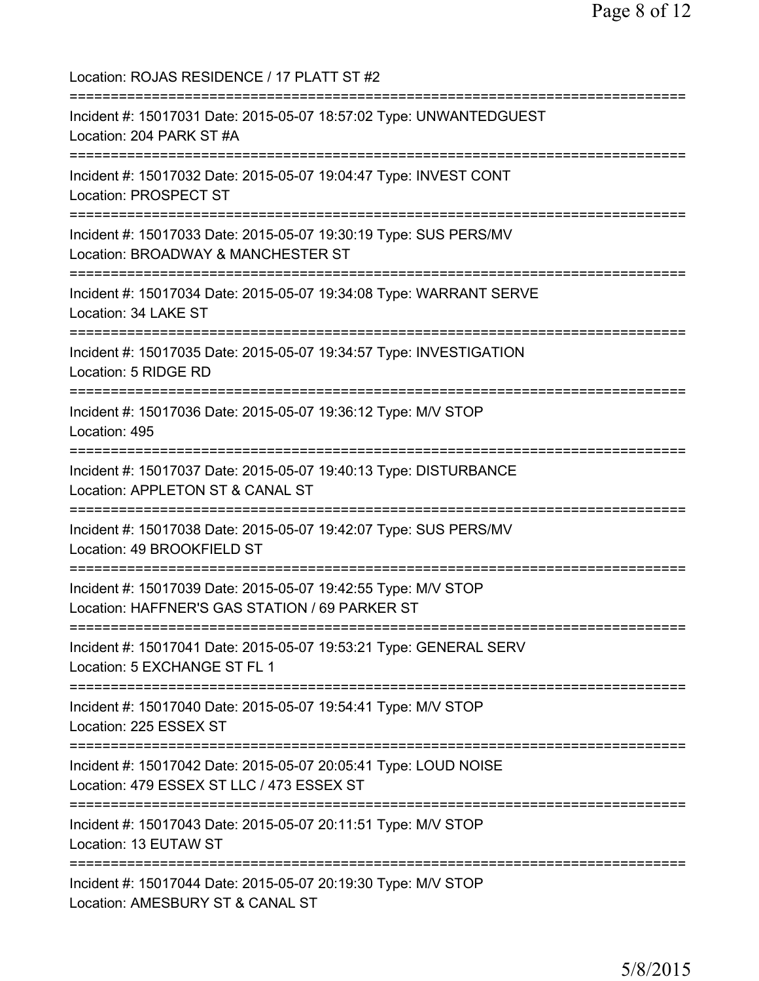Location: ROJAS RESIDENCE / 17 PLATT ST #2 =========================================================================== Incident #: 15017031 Date: 2015-05-07 18:57:02 Type: UNWANTEDGUEST Location: 204 PARK ST #A =========================================================================== Incident #: 15017032 Date: 2015-05-07 19:04:47 Type: INVEST CONT Location: PROSPECT ST =========================================================================== Incident #: 15017033 Date: 2015-05-07 19:30:19 Type: SUS PERS/MV Location: BROADWAY & MANCHESTER ST =========================================================================== Incident #: 15017034 Date: 2015-05-07 19:34:08 Type: WARRANT SERVE Location: 34 LAKE ST =========================================================================== Incident #: 15017035 Date: 2015-05-07 19:34:57 Type: INVESTIGATION Location: 5 RIDGE RD =========================================================================== Incident #: 15017036 Date: 2015-05-07 19:36:12 Type: M/V STOP Location: 495 =========================================================================== Incident #: 15017037 Date: 2015-05-07 19:40:13 Type: DISTURBANCE Location: APPLETON ST & CANAL ST =========================================================================== Incident #: 15017038 Date: 2015-05-07 19:42:07 Type: SUS PERS/MV Location: 49 BROOKFIELD ST =========================================================================== Incident #: 15017039 Date: 2015-05-07 19:42:55 Type: M/V STOP Location: HAFFNER'S GAS STATION / 69 PARKER ST =========================================================================== Incident #: 15017041 Date: 2015-05-07 19:53:21 Type: GENERAL SERV Location: 5 EXCHANGE ST FL 1 =========================================================================== Incident #: 15017040 Date: 2015-05-07 19:54:41 Type: M/V STOP Location: 225 ESSEX ST =========================================================================== Incident #: 15017042 Date: 2015-05-07 20:05:41 Type: LOUD NOISE Location: 479 ESSEX ST LLC / 473 ESSEX ST =========================================================================== Incident #: 15017043 Date: 2015-05-07 20:11:51 Type: M/V STOP Location: 13 EUTAW ST =========================================================================== Incident #: 15017044 Date: 2015-05-07 20:19:30 Type: M/V STOP Location: AMESBURY ST & CANAL ST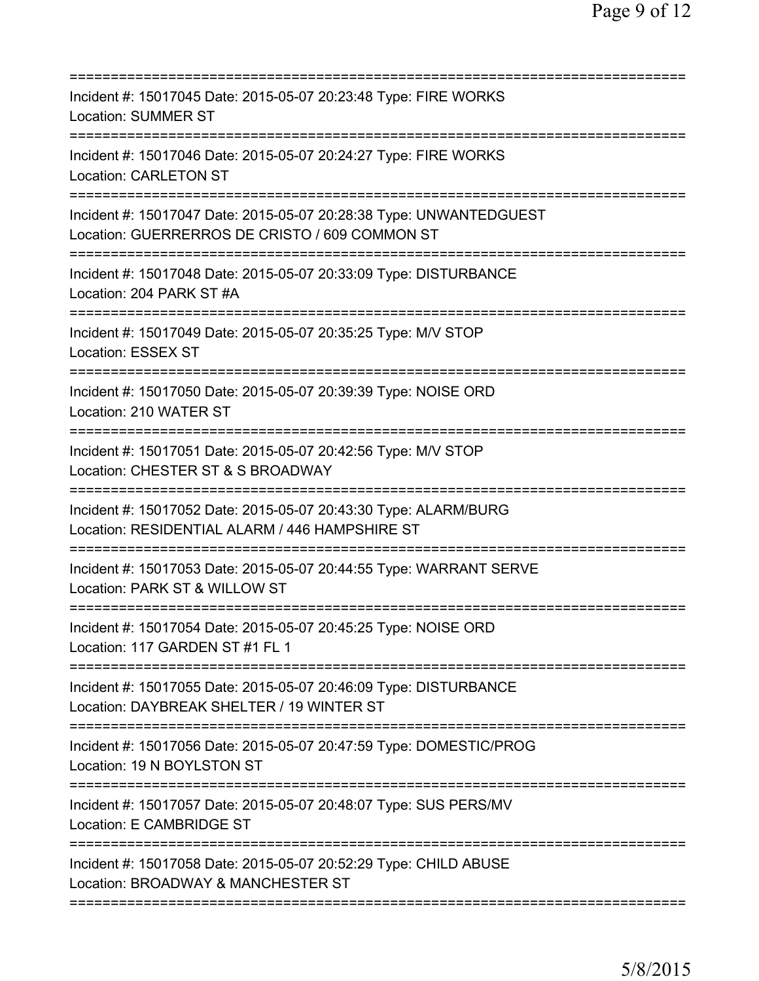| Incident #: 15017045 Date: 2015-05-07 20:23:48 Type: FIRE WORKS<br><b>Location: SUMMER ST</b><br>====================                        |
|----------------------------------------------------------------------------------------------------------------------------------------------|
| Incident #: 15017046 Date: 2015-05-07 20:24:27 Type: FIRE WORKS<br><b>Location: CARLETON ST</b>                                              |
| Incident #: 15017047 Date: 2015-05-07 20:28:38 Type: UNWANTEDGUEST<br>Location: GUERRERROS DE CRISTO / 609 COMMON ST                         |
| Incident #: 15017048 Date: 2015-05-07 20:33:09 Type: DISTURBANCE<br>Location: 204 PARK ST #A                                                 |
| Incident #: 15017049 Date: 2015-05-07 20:35:25 Type: M/V STOP<br>Location: ESSEX ST                                                          |
| ============================<br>Incident #: 15017050 Date: 2015-05-07 20:39:39 Type: NOISE ORD<br>Location: 210 WATER ST                     |
| Incident #: 15017051 Date: 2015-05-07 20:42:56 Type: M/V STOP<br>Location: CHESTER ST & S BROADWAY<br>===============================        |
| Incident #: 15017052 Date: 2015-05-07 20:43:30 Type: ALARM/BURG<br>Location: RESIDENTIAL ALARM / 446 HAMPSHIRE ST<br>======================= |
| Incident #: 15017053 Date: 2015-05-07 20:44:55 Type: WARRANT SERVE<br>Location: PARK ST & WILLOW ST                                          |
| Incident #: 15017054 Date: 2015-05-07 20:45:25 Type: NOISE ORD<br>Location: 117 GARDEN ST #1 FL 1                                            |
| Incident #: 15017055 Date: 2015-05-07 20:46:09 Type: DISTURBANCE<br>Location: DAYBREAK SHELTER / 19 WINTER ST                                |
| Incident #: 15017056 Date: 2015-05-07 20:47:59 Type: DOMESTIC/PROG<br>Location: 19 N BOYLSTON ST                                             |
| Incident #: 15017057 Date: 2015-05-07 20:48:07 Type: SUS PERS/MV<br>Location: E CAMBRIDGE ST                                                 |
| Incident #: 15017058 Date: 2015-05-07 20:52:29 Type: CHILD ABUSE<br>Location: BROADWAY & MANCHESTER ST                                       |
|                                                                                                                                              |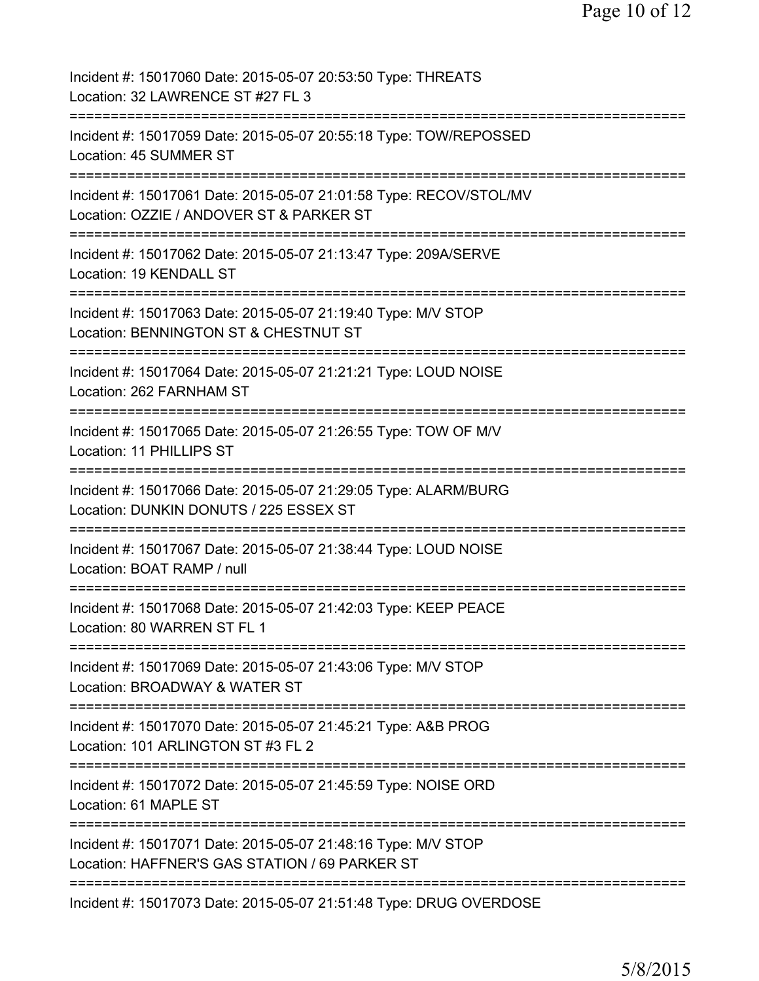| Incident #: 15017060 Date: 2015-05-07 20:53:50 Type: THREATS<br>Location: 32 LAWRENCE ST #27 FL 3                                  |
|------------------------------------------------------------------------------------------------------------------------------------|
| Incident #: 15017059 Date: 2015-05-07 20:55:18 Type: TOW/REPOSSED<br>Location: 45 SUMMER ST                                        |
| Incident #: 15017061 Date: 2015-05-07 21:01:58 Type: RECOV/STOL/MV<br>Location: OZZIE / ANDOVER ST & PARKER ST                     |
| Incident #: 15017062 Date: 2015-05-07 21:13:47 Type: 209A/SERVE<br>Location: 19 KENDALL ST                                         |
| Incident #: 15017063 Date: 2015-05-07 21:19:40 Type: M/V STOP<br>Location: BENNINGTON ST & CHESTNUT ST                             |
| Incident #: 15017064 Date: 2015-05-07 21:21:21 Type: LOUD NOISE<br>Location: 262 FARNHAM ST                                        |
| Incident #: 15017065 Date: 2015-05-07 21:26:55 Type: TOW OF M/V<br>Location: 11 PHILLIPS ST<br>:================================== |
| Incident #: 15017066 Date: 2015-05-07 21:29:05 Type: ALARM/BURG<br>Location: DUNKIN DONUTS / 225 ESSEX ST                          |
| Incident #: 15017067 Date: 2015-05-07 21:38:44 Type: LOUD NOISE<br>Location: BOAT RAMP / null                                      |
| Incident #: 15017068 Date: 2015-05-07 21:42:03 Type: KEEP PEACE<br>Location: 80 WARREN ST FL 1                                     |
| Incident #: 15017069 Date: 2015-05-07 21:43:06 Type: M/V STOP<br>Location: BROADWAY & WATER ST                                     |
| ==========================<br>Incident #: 15017070 Date: 2015-05-07 21:45:21 Type: A&B PROG<br>Location: 101 ARLINGTON ST #3 FL 2  |
| Incident #: 15017072 Date: 2015-05-07 21:45:59 Type: NOISE ORD<br>Location: 61 MAPLE ST                                            |
| Incident #: 15017071 Date: 2015-05-07 21:48:16 Type: M/V STOP<br>Location: HAFFNER'S GAS STATION / 69 PARKER ST                    |
| Incident #: 15017073 Date: 2015-05-07 21:51:48 Type: DRUG OVERDOSE                                                                 |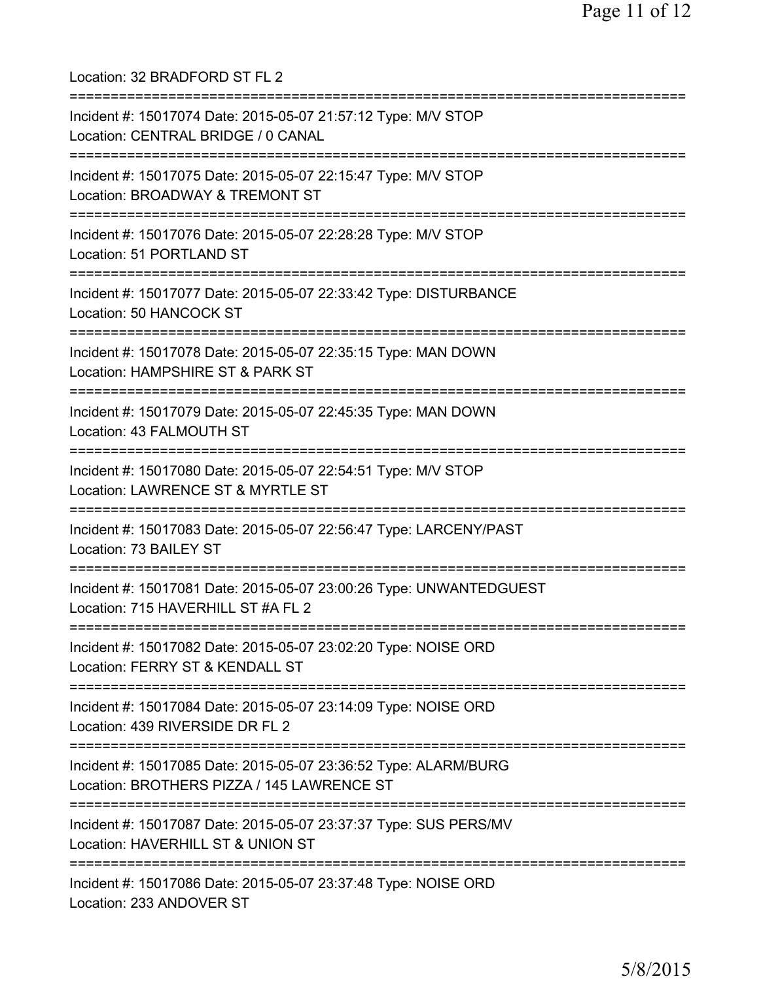Location: 32 BRADFORD ST FL 2 =========================================================================== Incident #: 15017074 Date: 2015-05-07 21:57:12 Type: M/V STOP Location: CENTRAL BRIDGE / 0 CANAL =========================================================================== Incident #: 15017075 Date: 2015-05-07 22:15:47 Type: M/V STOP Location: BROADWAY & TREMONT ST =========================================================================== Incident #: 15017076 Date: 2015-05-07 22:28:28 Type: M/V STOP Location: 51 PORTLAND ST =========================================================================== Incident #: 15017077 Date: 2015-05-07 22:33:42 Type: DISTURBANCE Location: 50 HANCOCK ST =========================================================================== Incident #: 15017078 Date: 2015-05-07 22:35:15 Type: MAN DOWN Location: HAMPSHIRE ST & PARK ST =========================================================================== Incident #: 15017079 Date: 2015-05-07 22:45:35 Type: MAN DOWN Location: 43 FALMOUTH ST =========================================================================== Incident #: 15017080 Date: 2015-05-07 22:54:51 Type: M/V STOP Location: LAWRENCE ST & MYRTLE ST =========================================================================== Incident #: 15017083 Date: 2015-05-07 22:56:47 Type: LARCENY/PAST Location: 73 BAILEY ST =========================================================================== Incident #: 15017081 Date: 2015-05-07 23:00:26 Type: UNWANTEDGUEST Location: 715 HAVERHILL ST #A FL 2 =========================================================================== Incident #: 15017082 Date: 2015-05-07 23:02:20 Type: NOISE ORD Location: FERRY ST & KENDALL ST =========================================================================== Incident #: 15017084 Date: 2015-05-07 23:14:09 Type: NOISE ORD Location: 439 RIVERSIDE DR FL 2 =========================================================================== Incident #: 15017085 Date: 2015-05-07 23:36:52 Type: ALARM/BURG Location: BROTHERS PIZZA / 145 LAWRENCE ST =========================================================================== Incident #: 15017087 Date: 2015-05-07 23:37:37 Type: SUS PERS/MV Location: HAVERHILL ST & UNION ST =========================================================================== Incident #: 15017086 Date: 2015-05-07 23:37:48 Type: NOISE ORD Location: 233 ANDOVER ST